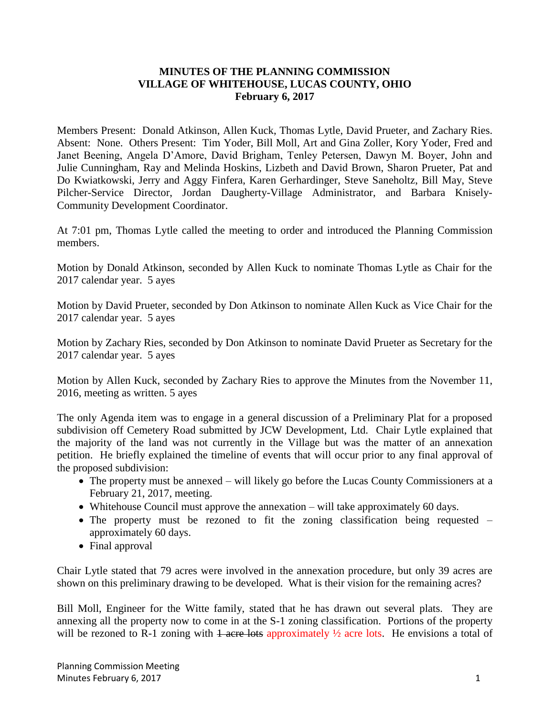## **MINUTES OF THE PLANNING COMMISSION VILLAGE OF WHITEHOUSE, LUCAS COUNTY, OHIO February 6, 2017**

Members Present: Donald Atkinson, Allen Kuck, Thomas Lytle, David Prueter, and Zachary Ries. Absent: None. Others Present: Tim Yoder, Bill Moll, Art and Gina Zoller, Kory Yoder, Fred and Janet Beening, Angela D'Amore, David Brigham, Tenley Petersen, Dawyn M. Boyer, John and Julie Cunningham, Ray and Melinda Hoskins, Lizbeth and David Brown, Sharon Prueter, Pat and Do Kwiatkowski, Jerry and Aggy Finfera, Karen Gerhardinger, Steve Saneholtz, Bill May, Steve Pilcher-Service Director, Jordan Daugherty-Village Administrator, and Barbara Knisely-Community Development Coordinator.

At 7:01 pm, Thomas Lytle called the meeting to order and introduced the Planning Commission members.

Motion by Donald Atkinson, seconded by Allen Kuck to nominate Thomas Lytle as Chair for the 2017 calendar year. 5 ayes

Motion by David Prueter, seconded by Don Atkinson to nominate Allen Kuck as Vice Chair for the 2017 calendar year. 5 ayes

Motion by Zachary Ries, seconded by Don Atkinson to nominate David Prueter as Secretary for the 2017 calendar year. 5 ayes

Motion by Allen Kuck, seconded by Zachary Ries to approve the Minutes from the November 11, 2016, meeting as written. 5 ayes

The only Agenda item was to engage in a general discussion of a Preliminary Plat for a proposed subdivision off Cemetery Road submitted by JCW Development, Ltd. Chair Lytle explained that the majority of the land was not currently in the Village but was the matter of an annexation petition. He briefly explained the timeline of events that will occur prior to any final approval of the proposed subdivision:

- The property must be annexed will likely go before the Lucas County Commissioners at a February 21, 2017, meeting.
- Whitehouse Council must approve the annexation will take approximately 60 days.
- The property must be rezoned to fit the zoning classification being requested approximately 60 days.
- Final approval

Chair Lytle stated that 79 acres were involved in the annexation procedure, but only 39 acres are shown on this preliminary drawing to be developed. What is their vision for the remaining acres?

Bill Moll, Engineer for the Witte family, stated that he has drawn out several plats. They are annexing all the property now to come in at the S-1 zoning classification. Portions of the property will be rezoned to R-1 zoning with  $\frac{1}{4}$  acre lots approximately  $\frac{1}{2}$  acre lots. He envisions a total of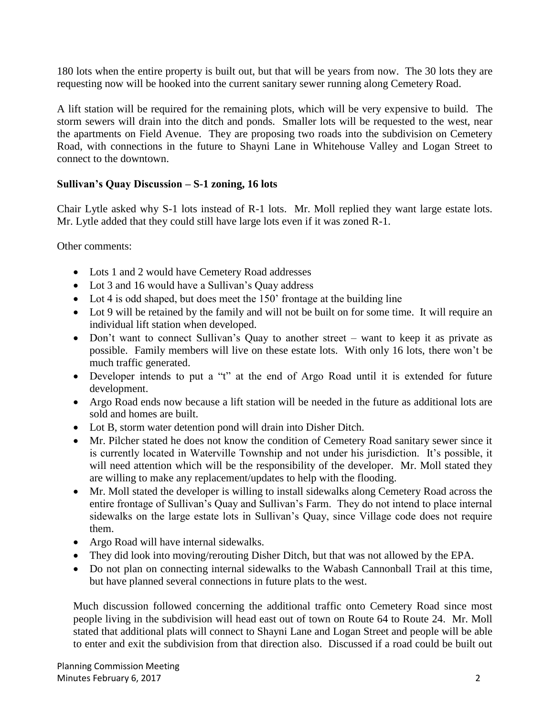180 lots when the entire property is built out, but that will be years from now. The 30 lots they are requesting now will be hooked into the current sanitary sewer running along Cemetery Road.

A lift station will be required for the remaining plots, which will be very expensive to build. The storm sewers will drain into the ditch and ponds. Smaller lots will be requested to the west, near the apartments on Field Avenue. They are proposing two roads into the subdivision on Cemetery Road, with connections in the future to Shayni Lane in Whitehouse Valley and Logan Street to connect to the downtown.

## **Sullivan's Quay Discussion – S-1 zoning, 16 lots**

Chair Lytle asked why S-1 lots instead of R-1 lots. Mr. Moll replied they want large estate lots. Mr. Lytle added that they could still have large lots even if it was zoned R-1.

Other comments:

- Lots 1 and 2 would have Cemetery Road addresses
- Lot 3 and 16 would have a Sullivan's Quay address
- Lot 4 is odd shaped, but does meet the 150' frontage at the building line
- Lot 9 will be retained by the family and will not be built on for some time. It will require an individual lift station when developed.
- Don't want to connect Sullivan's Quay to another street want to keep it as private as possible. Family members will live on these estate lots. With only 16 lots, there won't be much traffic generated.
- Developer intends to put a "t" at the end of Argo Road until it is extended for future development.
- Argo Road ends now because a lift station will be needed in the future as additional lots are sold and homes are built.
- Lot B, storm water detention pond will drain into Disher Ditch.
- Mr. Pilcher stated he does not know the condition of Cemetery Road sanitary sewer since it is currently located in Waterville Township and not under his jurisdiction. It's possible, it will need attention which will be the responsibility of the developer. Mr. Moll stated they are willing to make any replacement/updates to help with the flooding.
- Mr. Moll stated the developer is willing to install sidewalks along Cemetery Road across the entire frontage of Sullivan's Quay and Sullivan's Farm. They do not intend to place internal sidewalks on the large estate lots in Sullivan's Quay, since Village code does not require them.
- Argo Road will have internal sidewalks.
- They did look into moving/rerouting Disher Ditch, but that was not allowed by the EPA.
- Do not plan on connecting internal sidewalks to the Wabash Cannonball Trail at this time, but have planned several connections in future plats to the west.

Much discussion followed concerning the additional traffic onto Cemetery Road since most people living in the subdivision will head east out of town on Route 64 to Route 24. Mr. Moll stated that additional plats will connect to Shayni Lane and Logan Street and people will be able to enter and exit the subdivision from that direction also. Discussed if a road could be built out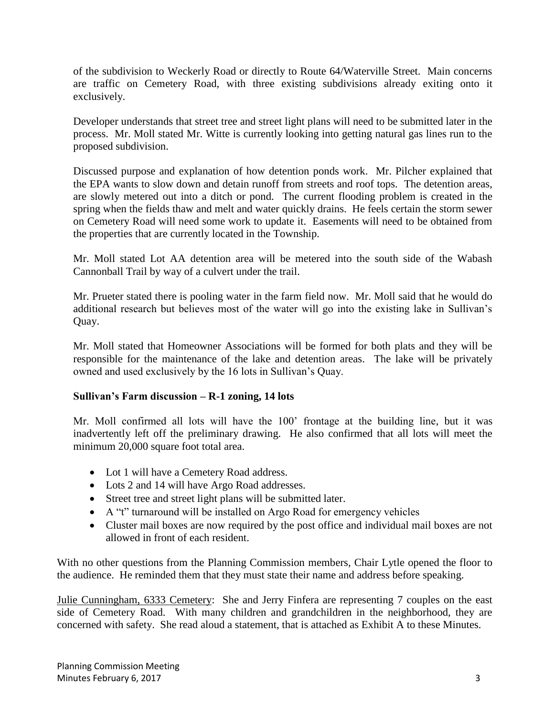of the subdivision to Weckerly Road or directly to Route 64/Waterville Street. Main concerns are traffic on Cemetery Road, with three existing subdivisions already exiting onto it exclusively.

Developer understands that street tree and street light plans will need to be submitted later in the process. Mr. Moll stated Mr. Witte is currently looking into getting natural gas lines run to the proposed subdivision.

Discussed purpose and explanation of how detention ponds work. Mr. Pilcher explained that the EPA wants to slow down and detain runoff from streets and roof tops. The detention areas, are slowly metered out into a ditch or pond. The current flooding problem is created in the spring when the fields thaw and melt and water quickly drains. He feels certain the storm sewer on Cemetery Road will need some work to update it. Easements will need to be obtained from the properties that are currently located in the Township.

Mr. Moll stated Lot AA detention area will be metered into the south side of the Wabash Cannonball Trail by way of a culvert under the trail.

Mr. Prueter stated there is pooling water in the farm field now. Mr. Moll said that he would do additional research but believes most of the water will go into the existing lake in Sullivan's Quay.

Mr. Moll stated that Homeowner Associations will be formed for both plats and they will be responsible for the maintenance of the lake and detention areas. The lake will be privately owned and used exclusively by the 16 lots in Sullivan's Quay.

## **Sullivan's Farm discussion – R-1 zoning, 14 lots**

Mr. Moll confirmed all lots will have the 100' frontage at the building line, but it was inadvertently left off the preliminary drawing. He also confirmed that all lots will meet the minimum 20,000 square foot total area.

- Lot 1 will have a Cemetery Road address.
- Lots 2 and 14 will have Argo Road addresses.
- Street tree and street light plans will be submitted later.
- A "t" turnaround will be installed on Argo Road for emergency vehicles
- Cluster mail boxes are now required by the post office and individual mail boxes are not allowed in front of each resident.

With no other questions from the Planning Commission members, Chair Lytle opened the floor to the audience. He reminded them that they must state their name and address before speaking.

Julie Cunningham, 6333 Cemetery: She and Jerry Finfera are representing 7 couples on the east side of Cemetery Road. With many children and grandchildren in the neighborhood, they are concerned with safety. She read aloud a statement, that is attached as Exhibit A to these Minutes.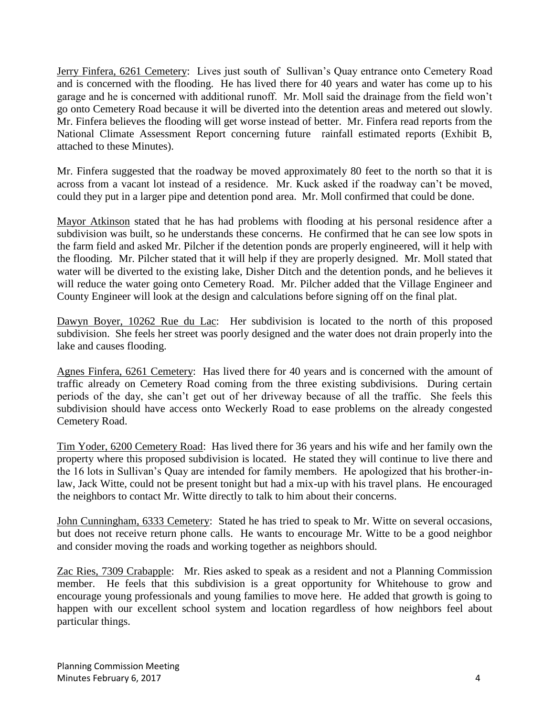Jerry Finfera, 6261 Cemetery: Lives just south of Sullivan's Quay entrance onto Cemetery Road and is concerned with the flooding. He has lived there for 40 years and water has come up to his garage and he is concerned with additional runoff. Mr. Moll said the drainage from the field won't go onto Cemetery Road because it will be diverted into the detention areas and metered out slowly. Mr. Finfera believes the flooding will get worse instead of better. Mr. Finfera read reports from the National Climate Assessment Report concerning future rainfall estimated reports (Exhibit B, attached to these Minutes).

Mr. Finfera suggested that the roadway be moved approximately 80 feet to the north so that it is across from a vacant lot instead of a residence. Mr. Kuck asked if the roadway can't be moved, could they put in a larger pipe and detention pond area. Mr. Moll confirmed that could be done.

Mayor Atkinson stated that he has had problems with flooding at his personal residence after a subdivision was built, so he understands these concerns. He confirmed that he can see low spots in the farm field and asked Mr. Pilcher if the detention ponds are properly engineered, will it help with the flooding. Mr. Pilcher stated that it will help if they are properly designed. Mr. Moll stated that water will be diverted to the existing lake, Disher Ditch and the detention ponds, and he believes it will reduce the water going onto Cemetery Road. Mr. Pilcher added that the Village Engineer and County Engineer will look at the design and calculations before signing off on the final plat.

Dawyn Boyer, 10262 Rue du Lac: Her subdivision is located to the north of this proposed subdivision. She feels her street was poorly designed and the water does not drain properly into the lake and causes flooding.

Agnes Finfera, 6261 Cemetery: Has lived there for 40 years and is concerned with the amount of traffic already on Cemetery Road coming from the three existing subdivisions. During certain periods of the day, she can't get out of her driveway because of all the traffic. She feels this subdivision should have access onto Weckerly Road to ease problems on the already congested Cemetery Road.

Tim Yoder, 6200 Cemetery Road: Has lived there for 36 years and his wife and her family own the property where this proposed subdivision is located. He stated they will continue to live there and the 16 lots in Sullivan's Quay are intended for family members. He apologized that his brother-inlaw, Jack Witte, could not be present tonight but had a mix-up with his travel plans. He encouraged the neighbors to contact Mr. Witte directly to talk to him about their concerns.

John Cunningham, 6333 Cemetery: Stated he has tried to speak to Mr. Witte on several occasions, but does not receive return phone calls. He wants to encourage Mr. Witte to be a good neighbor and consider moving the roads and working together as neighbors should.

Zac Ries, 7309 Crabapple: Mr. Ries asked to speak as a resident and not a Planning Commission member. He feels that this subdivision is a great opportunity for Whitehouse to grow and encourage young professionals and young families to move here. He added that growth is going to happen with our excellent school system and location regardless of how neighbors feel about particular things.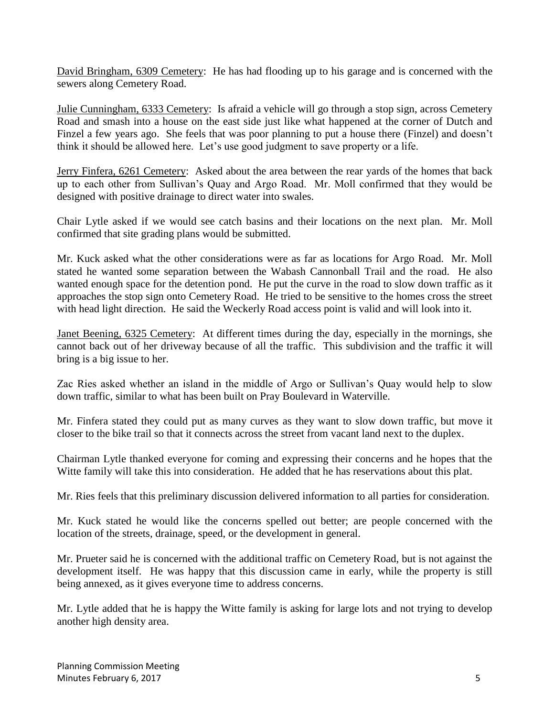David Bringham, 6309 Cemetery: He has had flooding up to his garage and is concerned with the sewers along Cemetery Road.

Julie Cunningham, 6333 Cemetery: Is afraid a vehicle will go through a stop sign, across Cemetery Road and smash into a house on the east side just like what happened at the corner of Dutch and Finzel a few years ago. She feels that was poor planning to put a house there (Finzel) and doesn't think it should be allowed here. Let's use good judgment to save property or a life.

Jerry Finfera, 6261 Cemetery: Asked about the area between the rear yards of the homes that back up to each other from Sullivan's Quay and Argo Road. Mr. Moll confirmed that they would be designed with positive drainage to direct water into swales.

Chair Lytle asked if we would see catch basins and their locations on the next plan. Mr. Moll confirmed that site grading plans would be submitted.

Mr. Kuck asked what the other considerations were as far as locations for Argo Road. Mr. Moll stated he wanted some separation between the Wabash Cannonball Trail and the road. He also wanted enough space for the detention pond. He put the curve in the road to slow down traffic as it approaches the stop sign onto Cemetery Road. He tried to be sensitive to the homes cross the street with head light direction. He said the Weckerly Road access point is valid and will look into it.

Janet Beening, 6325 Cemetery: At different times during the day, especially in the mornings, she cannot back out of her driveway because of all the traffic. This subdivision and the traffic it will bring is a big issue to her.

Zac Ries asked whether an island in the middle of Argo or Sullivan's Quay would help to slow down traffic, similar to what has been built on Pray Boulevard in Waterville.

Mr. Finfera stated they could put as many curves as they want to slow down traffic, but move it closer to the bike trail so that it connects across the street from vacant land next to the duplex.

Chairman Lytle thanked everyone for coming and expressing their concerns and he hopes that the Witte family will take this into consideration. He added that he has reservations about this plat.

Mr. Ries feels that this preliminary discussion delivered information to all parties for consideration.

Mr. Kuck stated he would like the concerns spelled out better; are people concerned with the location of the streets, drainage, speed, or the development in general.

Mr. Prueter said he is concerned with the additional traffic on Cemetery Road, but is not against the development itself. He was happy that this discussion came in early, while the property is still being annexed, as it gives everyone time to address concerns.

Mr. Lytle added that he is happy the Witte family is asking for large lots and not trying to develop another high density area.